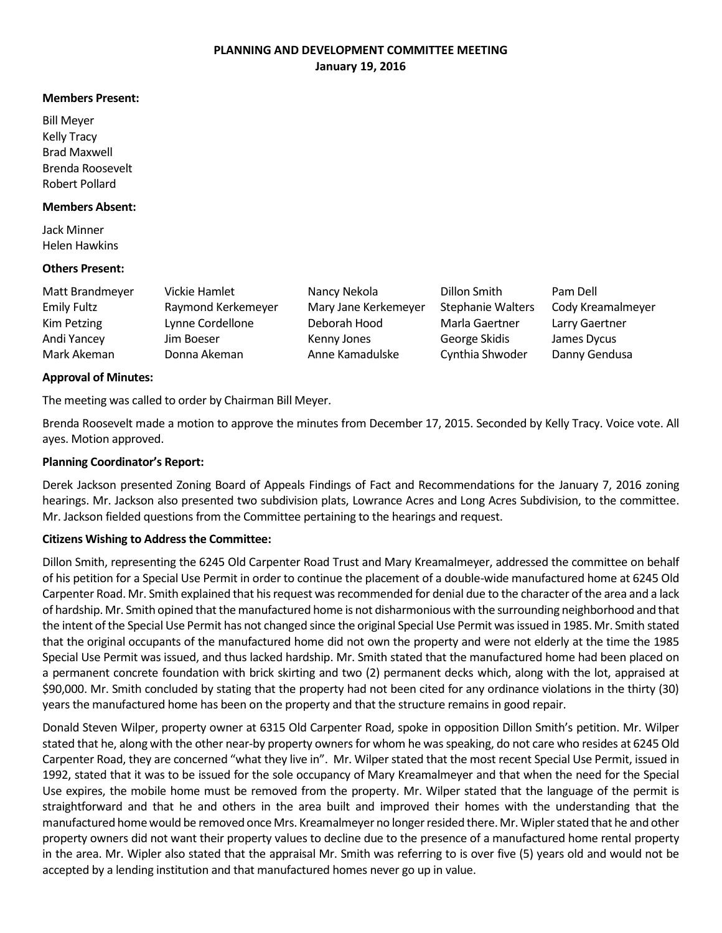# **PLANNING AND DEVELOPMENT COMMITTEE MEETING January 19, 2016**

#### **Members Present:**

Bill Meyer Kelly Tracy Brad Maxwell Brenda Roosevelt Robert Pollard

#### **Members Absent:**

Jack Minner Helen Hawkins

#### **Others Present:**

| Matt Brandmeyer    | Vickie Hamlet      | Nancy Nekola         | Dillon Smith             | Pam Dell          |
|--------------------|--------------------|----------------------|--------------------------|-------------------|
| <b>Emily Fultz</b> | Raymond Kerkemeyer | Mary Jane Kerkemeyer | <b>Stephanie Walters</b> | Cody Kreamalmeyer |
| Kim Petzing        | Lynne Cordellone   | Deborah Hood         | Marla Gaertner           | Larry Gaertner    |
| Andi Yancey        | Jim Boeser         | Kenny Jones          | George Skidis            | James Dycus       |
| Mark Akeman        | Donna Akeman       | Anne Kamadulske      | Cynthia Shwoder          | Danny Gendusa     |

#### **Approval of Minutes:**

The meeting was called to order by Chairman Bill Meyer.

Brenda Roosevelt made a motion to approve the minutes from December 17, 2015. Seconded by Kelly Tracy. Voice vote. All ayes. Motion approved.

#### **Planning Coordinator's Report:**

Derek Jackson presented Zoning Board of Appeals Findings of Fact and Recommendations for the January 7, 2016 zoning hearings. Mr. Jackson also presented two subdivision plats, Lowrance Acres and Long Acres Subdivision, to the committee. Mr. Jackson fielded questions from the Committee pertaining to the hearings and request.

#### **Citizens Wishing to Address the Committee:**

Dillon Smith, representing the 6245 Old Carpenter Road Trust and Mary Kreamalmeyer, addressed the committee on behalf of his petition for a Special Use Permit in order to continue the placement of a double-wide manufactured home at 6245 Old Carpenter Road. Mr. Smith explained that his request was recommended for denial due to the character of the area and a lack of hardship. Mr. Smith opined that the manufactured home is not disharmonious with the surrounding neighborhood and that the intent of the Special Use Permit has not changed since the original Special Use Permit was issued in 1985. Mr. Smith stated that the original occupants of the manufactured home did not own the property and were not elderly at the time the 1985 Special Use Permit was issued, and thus lacked hardship. Mr. Smith stated that the manufactured home had been placed on a permanent concrete foundation with brick skirting and two (2) permanent decks which, along with the lot, appraised at \$90,000. Mr. Smith concluded by stating that the property had not been cited for any ordinance violations in the thirty (30) years the manufactured home has been on the property and that the structure remains in good repair.

Donald Steven Wilper, property owner at 6315 Old Carpenter Road, spoke in opposition Dillon Smith's petition. Mr. Wilper stated that he, along with the other near-by property owners for whom he was speaking, do not care who resides at 6245 Old Carpenter Road, they are concerned "what they live in". Mr. Wilper stated that the most recent Special Use Permit, issued in 1992, stated that it was to be issued for the sole occupancy of Mary Kreamalmeyer and that when the need for the Special Use expires, the mobile home must be removed from the property. Mr. Wilper stated that the language of the permit is straightforward and that he and others in the area built and improved their homes with the understanding that the manufactured home would be removed once Mrs. Kreamalmeyer no longer resided there. Mr. Wipler stated that he and other property owners did not want their property values to decline due to the presence of a manufactured home rental property in the area. Mr. Wipler also stated that the appraisal Mr. Smith was referring to is over five (5) years old and would not be accepted by a lending institution and that manufactured homes never go up in value.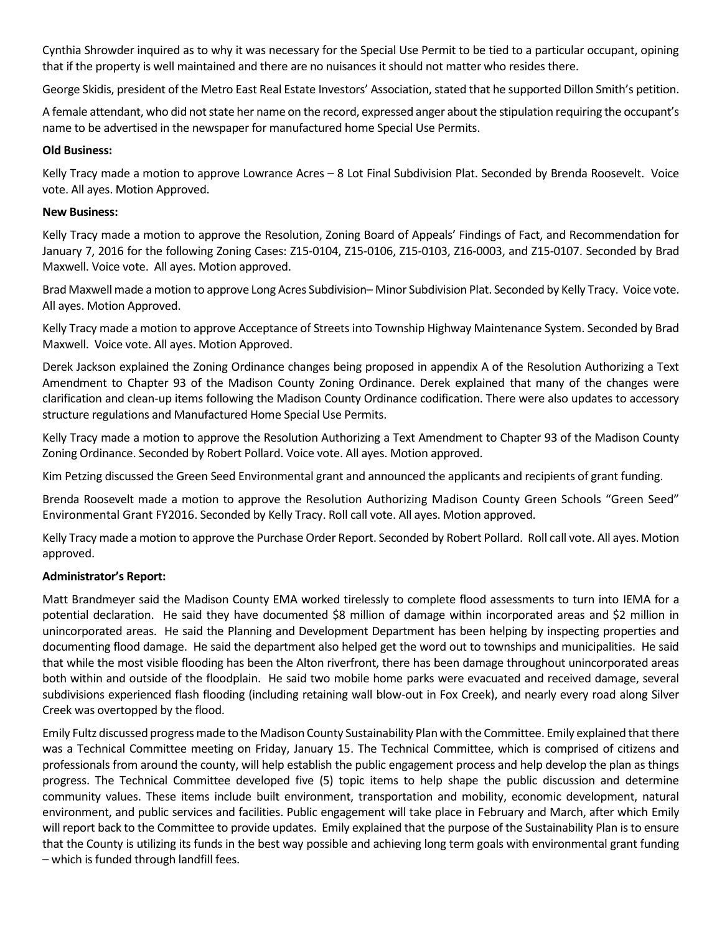Cynthia Shrowder inquired as to why it was necessary for the Special Use Permit to be tied to a particular occupant, opining that if the property is well maintained and there are no nuisances it should not matter who resides there.

George Skidis, president of the Metro East Real Estate Investors' Association, stated that he supported Dillon Smith's petition.

A female attendant, who did not state her name on the record, expressed anger about the stipulation requiring the occupant's name to be advertised in the newspaper for manufactured home Special Use Permits.

### **Old Business:**

Kelly Tracy made a motion to approve Lowrance Acres – 8 Lot Final Subdivision Plat. Seconded by Brenda Roosevelt. Voice vote. All ayes. Motion Approved.

### **New Business:**

Kelly Tracy made a motion to approve the Resolution, Zoning Board of Appeals' Findings of Fact, and Recommendation for January 7, 2016 for the following Zoning Cases: Z15-0104, Z15-0106, Z15-0103, Z16-0003, and Z15-0107. Seconded by Brad Maxwell. Voice vote. All ayes. Motion approved.

Brad Maxwell made a motion to approve Long Acres Subdivision– Minor Subdivision Plat. Seconded by Kelly Tracy. Voice vote. All ayes. Motion Approved.

Kelly Tracy made a motion to approve Acceptance of Streets into Township Highway Maintenance System. Seconded by Brad Maxwell. Voice vote. All ayes. Motion Approved.

Derek Jackson explained the Zoning Ordinance changes being proposed in appendix A of the Resolution Authorizing a Text Amendment to Chapter 93 of the Madison County Zoning Ordinance. Derek explained that many of the changes were clarification and clean-up items following the Madison County Ordinance codification. There were also updates to accessory structure regulations and Manufactured Home Special Use Permits.

Kelly Tracy made a motion to approve the Resolution Authorizing a Text Amendment to Chapter 93 of the Madison County Zoning Ordinance. Seconded by Robert Pollard. Voice vote. All ayes. Motion approved.

Kim Petzing discussed the Green Seed Environmental grant and announced the applicants and recipients of grant funding.

Brenda Roosevelt made a motion to approve the Resolution Authorizing Madison County Green Schools "Green Seed" Environmental Grant FY2016. Seconded by Kelly Tracy. Roll call vote. All ayes. Motion approved.

Kelly Tracy made a motion to approve the Purchase Order Report. Seconded by Robert Pollard. Roll call vote. All ayes. Motion approved.

# **Administrator's Report:**

Matt Brandmeyer said the Madison County EMA worked tirelessly to complete flood assessments to turn into IEMA for a potential declaration. He said they have documented \$8 million of damage within incorporated areas and \$2 million in unincorporated areas. He said the Planning and Development Department has been helping by inspecting properties and documenting flood damage. He said the department also helped get the word out to townships and municipalities. He said that while the most visible flooding has been the Alton riverfront, there has been damage throughout unincorporated areas both within and outside of the floodplain. He said two mobile home parks were evacuated and received damage, several subdivisions experienced flash flooding (including retaining wall blow-out in Fox Creek), and nearly every road along Silver Creek was overtopped by the flood.

Emily Fultz discussed progress made to the Madison County Sustainability Plan with the Committee. Emily explained that there was a Technical Committee meeting on Friday, January 15. The Technical Committee, which is comprised of citizens and professionals from around the county, will help establish the public engagement process and help develop the plan as things progress. The Technical Committee developed five (5) topic items to help shape the public discussion and determine community values. These items include built environment, transportation and mobility, economic development, natural environment, and public services and facilities. Public engagement will take place in February and March, after which Emily will report back to the Committee to provide updates. Emily explained that the purpose of the Sustainability Plan isto ensure that the County is utilizing its funds in the best way possible and achieving long term goals with environmental grant funding – which is funded through landfill fees.